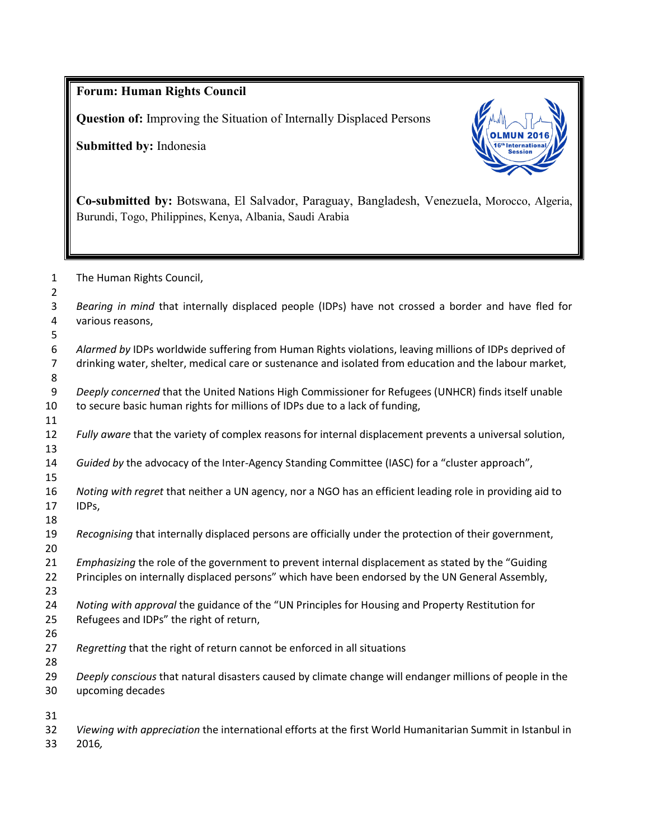**Forum: Human Rights Council Question of:** Improving the Situation of Internally Displaced Persons **Submitted by:** Indonesia **Co-submitted by:** Botswana, El Salvador, Paraguay, Bangladesh, Venezuela, Morocco, Algeria, Burundi, Togo, Philippines, Kenya, Albania, Saudi Arabia The Human Rights Council, *Bearing in mind* that internally displaced people (IDPs) have not crossed a border and have fled for various reasons, *Alarmed by* IDPs worldwide suffering from Human Rights violations, leaving millions of IDPs deprived of drinking water, shelter, medical care or sustenance and isolated from education and the labour market, *Deeply concerned* that the United Nations High Commissioner for Refugees (UNHCR) finds itself unable to secure basic human rights for millions of IDPs due to a lack of funding, *Fully aware* that the variety of complex reasons for internal displacement prevents a universal solution, *Guided by* the advocacy of the Inter-Agency Standing Committee (IASC) for a "cluster approach", *Noting with regret* that neither a UN agency, nor a NGO has an efficient leading role in providing aid to IDPs, *Recognising* that internally displaced persons are officially under the protection of their government, *Emphasizing* the role of the government to prevent internal displacement as stated by the "Guiding Principles on internally displaced persons" which have been endorsed by the UN General Assembly, *Noting with approval* the guidance of the "UN Principles for Housing and Property Restitution for Refugees and IDPs" the right of return, *Regretting* that the right of return cannot be enforced in all situations *Deeply conscious* that natural disasters caused by climate change will endanger millions of people in the upcoming decades *Viewing with appreciation* the international efforts at the first World Humanitarian Summit in Istanbul in 2016*,*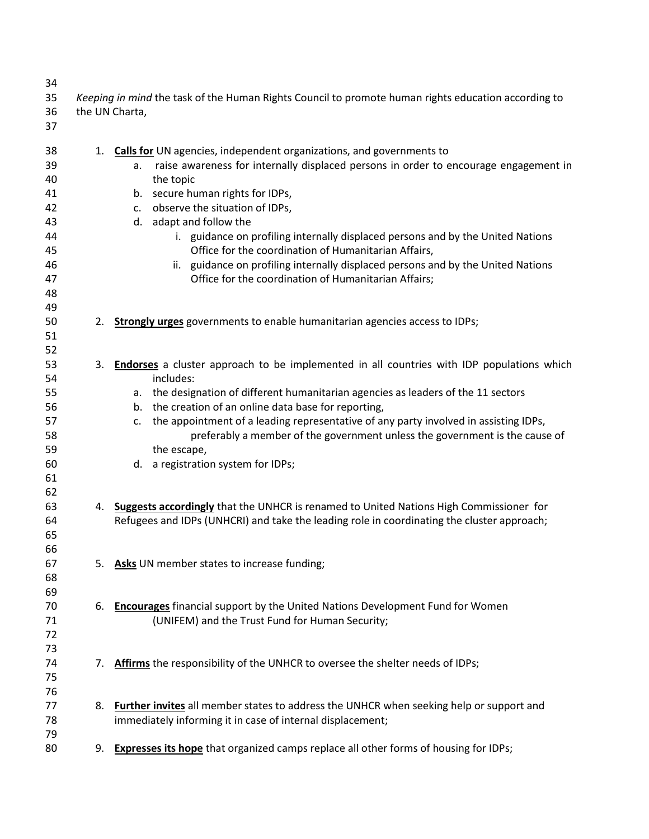| 34<br>35<br>36<br>37                                                 | Keeping in mind the task of the Human Rights Council to promote human rights education according to<br>the UN Charta, |                                                                                                                                                                                                                                                                                                                                                                                                                                                                                                                                                                               |
|----------------------------------------------------------------------|-----------------------------------------------------------------------------------------------------------------------|-------------------------------------------------------------------------------------------------------------------------------------------------------------------------------------------------------------------------------------------------------------------------------------------------------------------------------------------------------------------------------------------------------------------------------------------------------------------------------------------------------------------------------------------------------------------------------|
| 38<br>39<br>40<br>41<br>42<br>43<br>44<br>45<br>46<br>47<br>48<br>49 |                                                                                                                       | 1. Calls for UN agencies, independent organizations, and governments to<br>raise awareness for internally displaced persons in order to encourage engagement in<br>а.<br>the topic<br>b. secure human rights for IDPs,<br>c. observe the situation of IDPs,<br>d. adapt and follow the<br>i. guidance on profiling internally displaced persons and by the United Nations<br>Office for the coordination of Humanitarian Affairs,<br>ii. guidance on profiling internally displaced persons and by the United Nations<br>Office for the coordination of Humanitarian Affairs; |
| 50<br>51<br>52                                                       | 2.                                                                                                                    | <b>Strongly urges</b> governments to enable humanitarian agencies access to IDPs;                                                                                                                                                                                                                                                                                                                                                                                                                                                                                             |
| 53<br>54<br>55<br>56<br>57<br>58<br>59<br>60<br>61                   |                                                                                                                       | 3. Endorses a cluster approach to be implemented in all countries with IDP populations which<br>includes:<br>a. the designation of different humanitarian agencies as leaders of the 11 sectors<br>b. the creation of an online data base for reporting,<br>c. the appointment of a leading representative of any party involved in assisting IDPs,<br>preferably a member of the government unless the government is the cause of<br>the escape,<br>d. a registration system for IDPs;                                                                                       |
| 62<br>63<br>64<br>65<br>66                                           |                                                                                                                       | 4. Suggests accordingly that the UNHCR is renamed to United Nations High Commissioner for<br>Refugees and IDPs (UNHCRI) and take the leading role in coordinating the cluster approach;                                                                                                                                                                                                                                                                                                                                                                                       |
| 67<br>68<br>69                                                       |                                                                                                                       | 5. Asks UN member states to increase funding;                                                                                                                                                                                                                                                                                                                                                                                                                                                                                                                                 |
| 70<br>71<br>72<br>73                                                 | 6.                                                                                                                    | <b>Encourages</b> financial support by the United Nations Development Fund for Women<br>(UNIFEM) and the Trust Fund for Human Security;                                                                                                                                                                                                                                                                                                                                                                                                                                       |
| 74<br>75<br>76                                                       | 7.                                                                                                                    | Affirms the responsibility of the UNHCR to oversee the shelter needs of IDPs;                                                                                                                                                                                                                                                                                                                                                                                                                                                                                                 |
| 77<br>78<br>79                                                       | 8.                                                                                                                    | Further invites all member states to address the UNHCR when seeking help or support and<br>immediately informing it in case of internal displacement;                                                                                                                                                                                                                                                                                                                                                                                                                         |
| 80                                                                   |                                                                                                                       | 9. Expresses its hope that organized camps replace all other forms of housing for IDPs;                                                                                                                                                                                                                                                                                                                                                                                                                                                                                       |